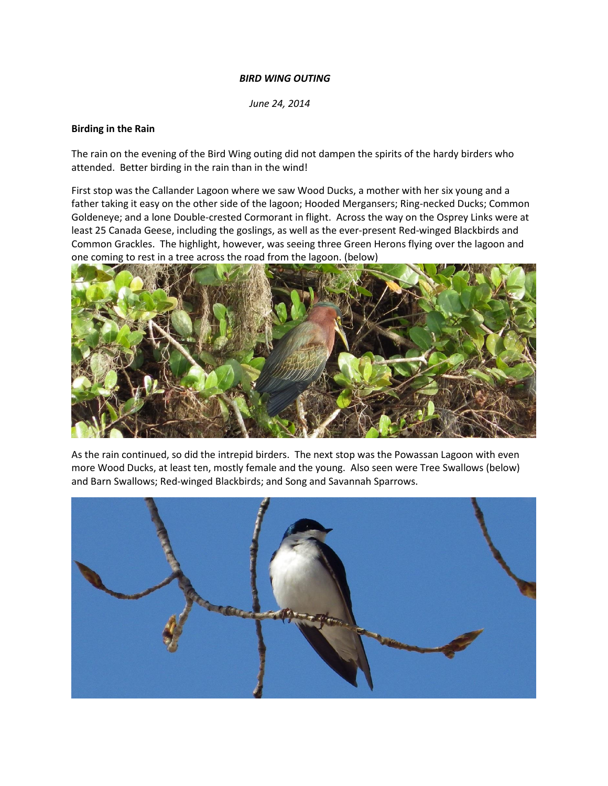## *BIRD WING OUTING*

 *June 24, 2014*

### **Birding in the Rain**

The rain on the evening of the Bird Wing outing did not dampen the spirits of the hardy birders who attended. Better birding in the rain than in the wind!

First stop was the Callander Lagoon where we saw Wood Ducks, a mother with her six young and a father taking it easy on the other side of the lagoon; Hooded Mergansers; Ring-necked Ducks; Common Goldeneye; and a lone Double-crested Cormorant in flight. Across the way on the Osprey Links were at least 25 Canada Geese, including the goslings, as well as the ever-present Red-winged Blackbirds and Common Grackles. The highlight, however, was seeing three Green Herons flying over the lagoon and one coming to rest in a tree across the road from the lagoon. (below)



As the rain continued, so did the intrepid birders. The next stop was the Powassan Lagoon with even more Wood Ducks, at least ten, mostly female and the young. Also seen were Tree Swallows (below) and Barn Swallows; Red-winged Blackbirds; and Song and Savannah Sparrows.

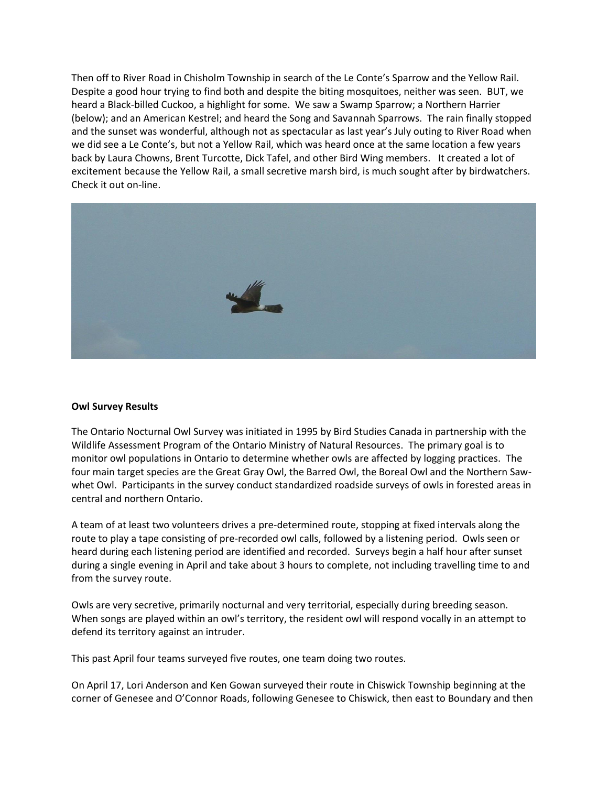Then off to River Road in Chisholm Township in search of the Le Conte's Sparrow and the Yellow Rail. Despite a good hour trying to find both and despite the biting mosquitoes, neither was seen. BUT, we heard a Black-billed Cuckoo, a highlight for some. We saw a Swamp Sparrow; a Northern Harrier (below); and an American Kestrel; and heard the Song and Savannah Sparrows. The rain finally stopped and the sunset was wonderful, although not as spectacular as last year's July outing to River Road when we did see a Le Conte's, but not a Yellow Rail, which was heard once at the same location a few years back by Laura Chowns, Brent Turcotte, Dick Tafel, and other Bird Wing members. It created a lot of excitement because the Yellow Rail, a small secretive marsh bird, is much sought after by birdwatchers. Check it out on-line.



#### **Owl Survey Results**

The Ontario Nocturnal Owl Survey was initiated in 1995 by Bird Studies Canada in partnership with the Wildlife Assessment Program of the Ontario Ministry of Natural Resources. The primary goal is to monitor owl populations in Ontario to determine whether owls are affected by logging practices. The four main target species are the Great Gray Owl, the Barred Owl, the Boreal Owl and the Northern Sawwhet Owl. Participants in the survey conduct standardized roadside surveys of owls in forested areas in central and northern Ontario.

A team of at least two volunteers drives a pre-determined route, stopping at fixed intervals along the route to play a tape consisting of pre-recorded owl calls, followed by a listening period. Owls seen or heard during each listening period are identified and recorded. Surveys begin a half hour after sunset during a single evening in April and take about 3 hours to complete, not including travelling time to and from the survey route.

Owls are very secretive, primarily nocturnal and very territorial, especially during breeding season. When songs are played within an owl's territory, the resident owl will respond vocally in an attempt to defend its territory against an intruder.

This past April four teams surveyed five routes, one team doing two routes.

On April 17, Lori Anderson and Ken Gowan surveyed their route in Chiswick Township beginning at the corner of Genesee and O'Connor Roads, following Genesee to Chiswick, then east to Boundary and then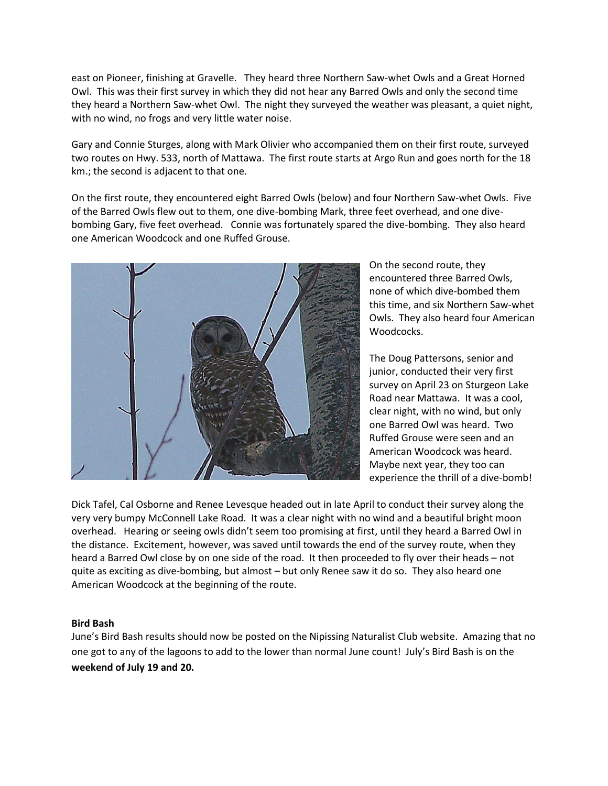east on Pioneer, finishing at Gravelle. They heard three Northern Saw-whet Owls and a Great Horned Owl. This was their first survey in which they did not hear any Barred Owls and only the second time they heard a Northern Saw-whet Owl. The night they surveyed the weather was pleasant, a quiet night, with no wind, no frogs and very little water noise.

Gary and Connie Sturges, along with Mark Olivier who accompanied them on their first route, surveyed two routes on Hwy. 533, north of Mattawa. The first route starts at Argo Run and goes north for the 18 km.; the second is adjacent to that one.

On the first route, they encountered eight Barred Owls (below) and four Northern Saw-whet Owls. Five of the Barred Owls flew out to them, one dive-bombing Mark, three feet overhead, and one divebombing Gary, five feet overhead. Connie was fortunately spared the dive-bombing. They also heard one American Woodcock and one Ruffed Grouse.



On the second route, they encountered three Barred Owls, none of which dive-bombed them this time, and six Northern Saw-whet Owls. They also heard four American Woodcocks.

The Doug Pattersons, senior and junior, conducted their very first survey on April 23 on Sturgeon Lake Road near Mattawa. It was a cool, clear night, with no wind, but only one Barred Owl was heard. Two Ruffed Grouse were seen and an American Woodcock was heard. Maybe next year, they too can experience the thrill of a dive-bomb!

Dick Tafel, Cal Osborne and Renee Levesque headed out in late April to conduct their survey along the very very bumpy McConnell Lake Road. It was a clear night with no wind and a beautiful bright moon overhead. Hearing or seeing owls didn't seem too promising at first, until they heard a Barred Owl in the distance. Excitement, however, was saved until towards the end of the survey route, when they heard a Barred Owl close by on one side of the road. It then proceeded to fly over their heads – not quite as exciting as dive-bombing, but almost – but only Renee saw it do so. They also heard one American Woodcock at the beginning of the route.

#### **Bird Bash**

June's Bird Bash results should now be posted on the Nipissing Naturalist Club website. Amazing that no one got to any of the lagoons to add to the lower than normal June count! July's Bird Bash is on the **weekend of July 19 and 20.**